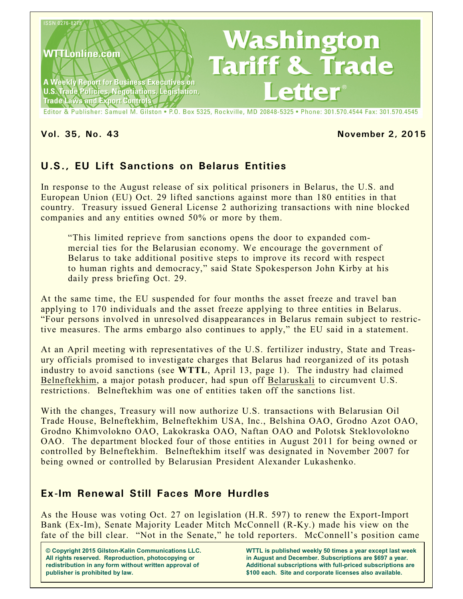

#### **Vol. 35, No. 43 November 2, 2015**

# **U.S., EU Lift Sanctions on Belarus Entities**

In response to the August release of six political prisoners in Belarus, the U.S. and European Union (EU) Oct. 29 lifted sanctions against more than 180 entities in that country. Treasury issued General License 2 authorizing transactions with nine blocked companies and any entities owned 50% or more by them.

"This limited reprieve from sanctions opens the door to expanded commercial ties for the Belarusian economy. We encourage the government of Belarus to take additional positive steps to improve its record with respect to human rights and democracy," said State Spokesperson John Kirby at his daily press briefing Oct. 29.

At the same time, the EU suspended for four months the asset freeze and travel ban applying to 170 individuals and the asset freeze applying to three entities in Belarus. "Four persons involved in unresolved disappearances in Belarus remain subject to restrictive measures. The arms embargo also continues to apply," the EU said in a statement.

At an April meeting with representatives of the U.S. fertilizer industry, State and Treasury officials promised to investigate charges that Belarus had reorganized of its potash industry to avoid sanctions (see **WTTL**, April 13, page 1). The industry had claimed Belneftekhim, a major potash producer, had spun off Belaruskali to circumvent U.S. restrictions. Belneftekhim was one of entities taken off the sanctions list.

With the changes, Treasury will now authorize U.S. transactions with Belarusian Oil Trade House, Belneftekhim, Belneftekhim USA, Inc., Belshina OAO, Grodno Azot OAO, Grodno Khimvolokno OAO, Lakokraska OAO, Naftan OAO and Polotsk Steklovolokno OAO. The department blocked four of those entities in August 2011 for being owned or controlled by Belneftekhim. Belneftekhim itself was designated in November 2007 for being owned or controlled by Belarusian President Alexander Lukashenko.

# **Ex-Im Renewal Still Faces More Hurdles**

As the House was voting Oct. 27 on legislation (H.R. 597) to renew the Export-Import Bank (Ex-Im), Senate Majority Leader Mitch McConnell (R-Ky.) made his view on the fate of the bill clear. "Not in the Senate," he told reporters. McConnell's position came

**© Copyright 2015 Gilston-Kalin Communications LLC. All rights reserved. Reproduction, photocopying or redistribution in any form without written approval of publisher is prohibited by law.** 

**WTTL is published weekly 50 times a year except last week in August and December. Subscriptions are \$697 a year. Additional subscriptions with full-priced subscriptions are \$100 each. Site and corporate licenses also available.**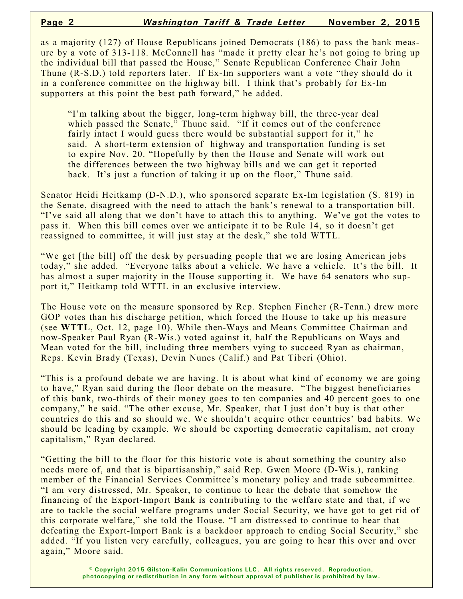as a majority (127) of House Republicans joined Democrats (186) to pass the bank measure by a vote of 313-118. McConnell has "made it pretty clear he's not going to bring up the individual bill that passed the House," Senate Republican Conference Chair John Thune (R-S.D.) told reporters later. If Ex-Im supporters want a vote "they should do it in a conference committee on the highway bill. I think that's probably for Ex-Im supporters at this point the best path forward," he added.

"I'm talking about the bigger, long-term highway bill, the three-year deal which passed the Senate," Thune said. "If it comes out of the conference fairly intact I would guess there would be substantial support for it," he said. A short-term extension of highway and transportation funding is set to expire Nov. 20. "Hopefully by then the House and Senate will work out the differences between the two highway bills and we can get it reported back. It's just a function of taking it up on the floor," Thune said.

Senator Heidi Heitkamp (D-N.D.), who sponsored separate Ex-Im legislation (S. 819) in the Senate, disagreed with the need to attach the bank's renewal to a transportation bill. "I've said all along that we don't have to attach this to anything. We've got the votes to pass it. When this bill comes over we anticipate it to be Rule 14, so it doesn't get reassigned to committee, it will just stay at the desk," she told WTTL.

"We get [the bill] off the desk by persuading people that we are losing American jobs today," she added. "Everyone talks about a vehicle. We have a vehicle. It's the bill. It has almost a super majority in the House supporting it. We have 64 senators who support it," Heitkamp told WTTL in an exclusive interview.

The House vote on the measure sponsored by Rep. Stephen Fincher (R-Tenn.) drew more GOP votes than his discharge petition, which forced the House to take up his measure (see **WTTL**, Oct. 12, page 10). While then-Ways and Means Committee Chairman and now-Speaker Paul Ryan (R-Wis.) voted against it, half the Republicans on Ways and Mean voted for the bill, including three members vying to succeed Ryan as chairman, Reps. Kevin Brady (Texas), Devin Nunes (Calif.) and Pat Tiberi (Ohio).

"This is a profound debate we are having. It is about what kind of economy we are going to have," Ryan said during the floor debate on the measure. "The biggest beneficiaries of this bank, two-thirds of their money goes to ten companies and 40 percent goes to one company," he said. "The other excuse, Mr. Speaker, that I just don't buy is that other countries do this and so should we. We shouldn't acquire other countries' bad habits. We should be leading by example. We should be exporting democratic capitalism, not crony capitalism," Ryan declared.

"Getting the bill to the floor for this historic vote is about something the country also needs more of, and that is bipartisanship," said Rep. Gwen Moore (D-Wis.), ranking member of the Financial Services Committee's monetary policy and trade subcommittee. "I am very distressed, Mr. Speaker, to continue to hear the debate that somehow the financing of the Export-Import Bank is contributing to the welfare state and that, if we are to tackle the social welfare programs under Social Security, we have got to get rid of this corporate welfare," she told the House. "I am distressed to continue to hear that defeating the Export-Import Bank is a backdoor approach to ending Social Security," she added. "If you listen very carefully, colleagues, you are going to hear this over and over again," Moore said.

> **© Copyright 2015 Gilston-Kalin Communications LLC. All rights reserved. Reproduction, photocopying or redistribution in any form without approval of publisher is prohibited by law.**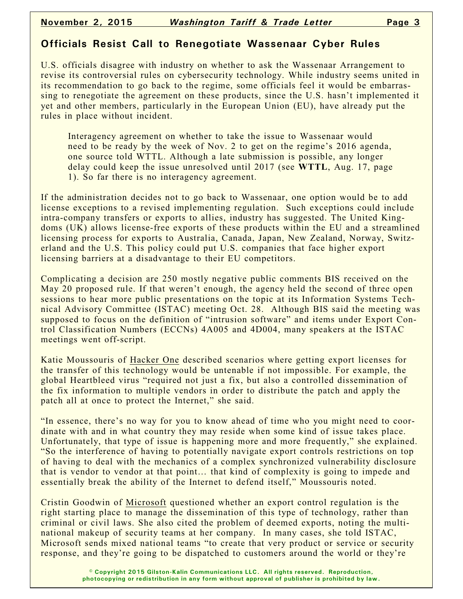## **Officials Resist Call to Renegotiate Wassenaar Cyber Rules**

U.S. officials disagree with industry on whether to ask the Wassenaar Arrangement to revise its controversial rules on cybersecurity technology. While industry seems united in its recommendation to go back to the regime, some officials feel it would be embarrassing to renegotiate the agreement on these products, since the U.S. hasn't implemented it yet and other members, particularly in the European Union (EU), have already put the rules in place without incident.

Interagency agreement on whether to take the issue to Wassenaar would need to be ready by the week of Nov. 2 to get on the regime's 2016 agenda, one source told WTTL. Although a late submission is possible, any longer delay could keep the issue unresolved until 2017 (see **WTTL**, Aug. 17, page 1). So far there is no interagency agreement.

If the administration decides not to go back to Wassenaar, one option would be to add license exceptions to a revised implementing regulation. Such exceptions could include intra-company transfers or exports to allies, industry has suggested. The United Kingdoms (UK) allows license-free exports of these products within the EU and a streamlined licensing process for exports to Australia, Canada, Japan, New Zealand, Norway, Switzerland and the U.S. This policy could put U.S. companies that face higher export licensing barriers at a disadvantage to their EU competitors.

Complicating a decision are 250 mostly negative public comments BIS received on the May 20 proposed rule. If that weren't enough, the agency held the second of three open sessions to hear more public presentations on the topic at its Information Systems Technical Advisory Committee (ISTAC) meeting Oct. 28. Although BIS said the meeting was supposed to focus on the definition of "intrusion software" and items under Export Control Classification Numbers (ECCNs) 4A005 and 4D004, many speakers at the ISTAC meetings went off-script.

Katie Moussouris of Hacker One described scenarios where getting export licenses for the transfer of this technology would be untenable if not impossible. For example, the global Heartbleed virus "required not just a fix, but also a controlled dissemination of the fix information to multiple vendors in order to distribute the patch and apply the patch all at once to protect the Internet," she said.

"In essence, there's no way for you to know ahead of time who you might need to coordinate with and in what country they may reside when some kind of issue takes place. Unfortunately, that type of issue is happening more and more frequently," she explained. "So the interference of having to potentially navigate export controls restrictions on top of having to deal with the mechanics of a complex synchronized vulnerability disclosure that is vendor to vendor at that point… that kind of complexity is going to impede and essentially break the ability of the Internet to defend itself," Moussouris noted.

Cristin Goodwin of Microsoft questioned whether an export control regulation is the right starting place to manage the dissemination of this type of technology, rather than criminal or civil laws. She also cited the problem of deemed exports, noting the multinational makeup of security teams at her company. In many cases, she told ISTAC, Microsoft sends mixed national teams "to create that very product or service or security response, and they're going to be dispatched to customers around the world or they're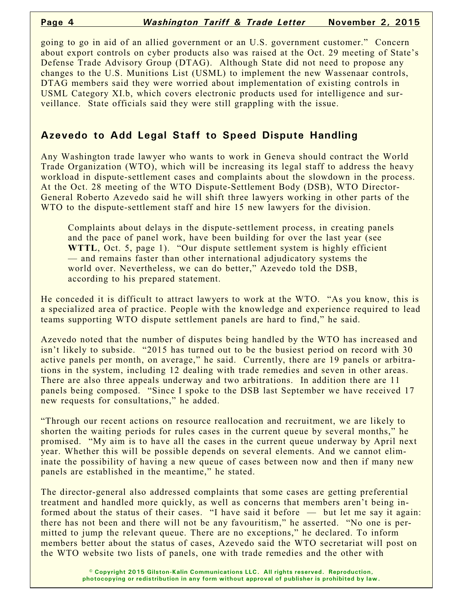going to go in aid of an allied government or an U.S. government customer." Concern about export controls on cyber products also was raised at the Oct. 29 meeting of State's Defense Trade Advisory Group (DTAG). Although State did not need to propose any changes to the U.S. Munitions List (USML) to implement the new Wassenaar controls, DTAG members said they were worried about implementation of existing controls in USML Category XI.b, which covers electronic products used for intelligence and surveillance. State officials said they were still grappling with the issue.

#### **Azevedo to Add Legal Staff to Speed Dispute Handling**

Any Washington trade lawyer who wants to work in Geneva should contract the World Trade Organization (WTO), which will be increasing its legal staff to address the heavy workload in dispute-settlement cases and complaints about the slowdown in the process. At the Oct. 28 meeting of the WTO Dispute-Settlement Body (DSB), WTO Director-General Roberto Azevedo said he will shift three lawyers working in other parts of the WTO to the dispute-settlement staff and hire 15 new lawyers for the division.

Complaints about delays in the dispute-settlement process, in creating panels and the pace of panel work, have been building for over the last year (see **WTTL**, Oct. 5, page 1). "Our dispute settlement system is highly efficient — and remains faster than other international adjudicatory systems the world over. Nevertheless, we can do better," Azevedo told the DSB, according to his prepared statement.

He conceded it is difficult to attract lawyers to work at the WTO. "As you know, this is a specialized area of practice. People with the knowledge and experience required to lead teams supporting WTO dispute settlement panels are hard to find," he said.

Azevedo noted that the number of disputes being handled by the WTO has increased and isn't likely to subside. "2015 has turned out to be the busiest period on record with 30 active panels per month, on average," he said. Currently, there are 19 panels or arbitrations in the system, including 12 dealing with trade remedies and seven in other areas. There are also three appeals underway and two arbitrations. In addition there are 11 panels being composed. "Since I spoke to the DSB last September we have received 17 new requests for consultations," he added.

"Through our recent actions on resource reallocation and recruitment, we are likely to shorten the waiting periods for rules cases in the current queue by several months," he promised. "My aim is to have all the cases in the current queue underway by April next year. Whether this will be possible depends on several elements. And we cannot eliminate the possibility of having a new queue of cases between now and then if many new panels are established in the meantime," he stated.

The director-general also addressed complaints that some cases are getting preferential treatment and handled more quickly, as well as concerns that members aren't being informed about the status of their cases. "I have said it before — but let me say it again: there has not been and there will not be any favouritism," he asserted. "No one is permitted to jump the relevant queue. There are no exceptions," he declared. To inform members better about the status of cases, Azevedo said the WTO secretariat will post on the WTO website two lists of panels, one with trade remedies and the other with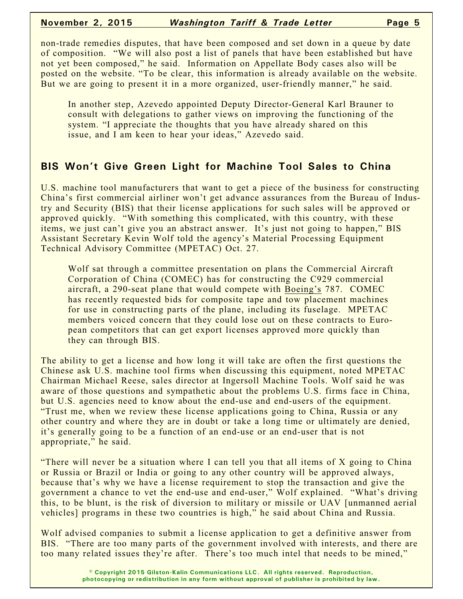non-trade remedies disputes, that have been composed and set down in a queue by date of composition. "We will also post a list of panels that have been established but have not yet been composed," he said. Information on Appellate Body cases also will be posted on the website. "To be clear, this information is already available on the website. But we are going to present it in a more organized, user-friendly manner," he said.

In another step, Azevedo appointed Deputy Director-General Karl Brauner to consult with delegations to gather views on improving the functioning of the system. "I appreciate the thoughts that you have already shared on this issue, and I am keen to hear your ideas," Azevedo said.

#### **BIS Won't Give Green Light for Machine Tool Sales to China**

U.S. machine tool manufacturers that want to get a piece of the business for constructing China's first commercial airliner won't get advance assurances from the Bureau of Industry and Security (BIS) that their license applications for such sales will be approved or approved quickly. "With something this complicated, with this country, with these items, we just can't give you an abstract answer. It's just not going to happen," BIS Assistant Secretary Kevin Wolf told the agency's Material Processing Equipment Technical Advisory Committee (MPETAC) Oct. 27.

Wolf sat through a committee presentation on plans the Commercial Aircraft Corporation of China (COMEC) has for constructing the C929 commercial aircraft, a 290-seat plane that would compete with Boeing's 787. COMEC has recently requested bids for composite tape and tow placement machines for use in constructing parts of the plane, including its fuselage. MPETAC members voiced concern that they could lose out on these contracts to European competitors that can get export licenses approved more quickly than they can through BIS.

The ability to get a license and how long it will take are often the first questions the Chinese ask U.S. machine tool firms when discussing this equipment, noted MPETAC Chairman Michael Reese, sales director at Ingersoll Machine Tools. Wolf said he was aware of those questions and sympathetic about the problems U.S. firms face in China, but U.S. agencies need to know about the end-use and end-users of the equipment. "Trust me, when we review these license applications going to China, Russia or any other country and where they are in doubt or take a long time or ultimately are denied, it's generally going to be a function of an end-use or an end-user that is not appropriate," he said.

"There will never be a situation where I can tell you that all items of X going to China or Russia or Brazil or India or going to any other country will be approved always, because that's why we have a license requirement to stop the transaction and give the government a chance to vet the end-use and end-user," Wolf explained. "What's driving this, to be blunt, is the risk of diversion to military or missile or UAV [unmanned aerial vehicles] programs in these two countries is high," he said about China and Russia.

Wolf advised companies to submit a license application to get a definitive answer from BIS. "There are too many parts of the government involved with interests, and there are too many related issues they're after. There's too much intel that needs to be mined,"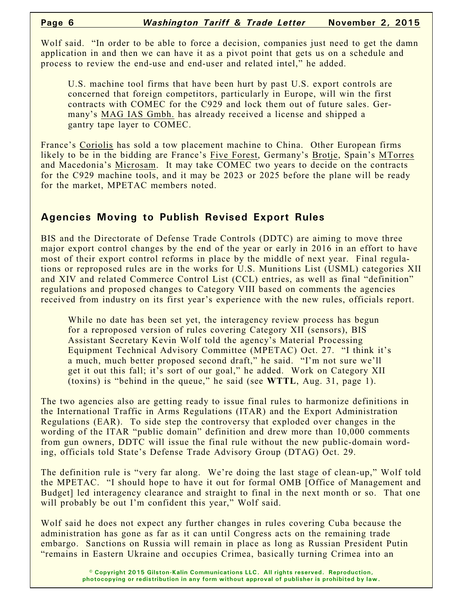Wolf said. "In order to be able to force a decision, companies just need to get the damn application in and then we can have it as a pivot point that gets us on a schedule and process to review the end-use and end-user and related intel," he added.

U.S. machine tool firms that have been hurt by past U.S. export controls are concerned that foreign competitors, particularly in Europe, will win the first contracts with COMEC for the C929 and lock them out of future sales. Germany's MAG IAS Gmbh. has already received a license and shipped a gantry tape layer to COMEC.

France's Coriolis has sold a tow placement machine to China. Other European firms likely to be in the bidding are France's Five Forest, Germany's Brotie, Spain's MTorres and Macedonia's Microsam. It may take COMEC two years to decide on the contracts for the C929 machine tools, and it may be 2023 or 2025 before the plane will be ready for the market, MPETAC members noted.

## **Agencies Moving to Publish Revised Export Rules**

BIS and the Directorate of Defense Trade Controls (DDTC) are aiming to move three major export control changes by the end of the year or early in 2016 in an effort to have most of their export control reforms in place by the middle of next year. Final regulations or reproposed rules are in the works for U.S. Munitions List (USML) categories XII and XIV and related Commerce Control List (CCL) entries, as well as final "definition" regulations and proposed changes to Category VIII based on comments the agencies received from industry on its first year's experience with the new rules, officials report.

While no date has been set yet, the interagency review process has begun for a reproposed version of rules covering Category XII (sensors), BIS Assistant Secretary Kevin Wolf told the agency's Material Processing Equipment Technical Advisory Committee (MPETAC) Oct. 27. "I think it's a much, much better proposed second draft," he said. "I'm not sure we'll get it out this fall; it's sort of our goal," he added. Work on Category XII (toxins) is "behind in the queue," he said (see **WTTL**, Aug. 31, page 1).

The two agencies also are getting ready to issue final rules to harmonize definitions in the International Traffic in Arms Regulations (ITAR) and the Export Administration Regulations (EAR). To side step the controversy that exploded over changes in the wording of the ITAR "public domain" definition and drew more than 10,000 comments from gun owners, DDTC will issue the final rule without the new public-domain wording, officials told State's Defense Trade Advisory Group (DTAG) Oct. 29.

The definition rule is "very far along. We're doing the last stage of clean-up," Wolf told the MPETAC. "I should hope to have it out for formal OMB [Office of Management and Budget] led interagency clearance and straight to final in the next month or so. That one will probably be out I'm confident this year," Wolf said.

Wolf said he does not expect any further changes in rules covering Cuba because the administration has gone as far as it can until Congress acts on the remaining trade embargo. Sanctions on Russia will remain in place as long as Russian President Putin "remains in Eastern Ukraine and occupies Crimea, basically turning Crimea into an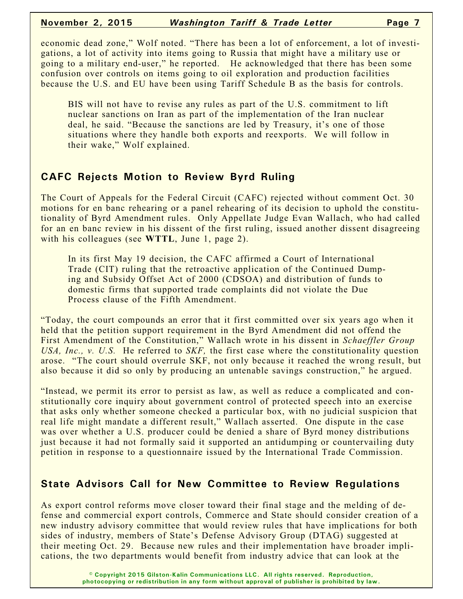#### **November 2, 2015** *Washington Tariff & Trade Letter* **Page 7**

economic dead zone," Wolf noted. "There has been a lot of enforcement, a lot of investigations, a lot of activity into items going to Russia that might have a military use or going to a military end-user," he reported. He acknowledged that there has been some confusion over controls on items going to oil exploration and production facilities because the U.S. and EU have been using Tariff Schedule B as the basis for controls.

BIS will not have to revise any rules as part of the U.S. commitment to lift nuclear sanctions on Iran as part of the implementation of the Iran nuclear deal, he said. "Because the sanctions are led by Treasury, it's one of those situations where they handle both exports and reexports. We will follow in their wake," Wolf explained.

## **CAFC Rejects Motion to Review Byrd Ruling**

The Court of Appeals for the Federal Circuit (CAFC) rejected without comment Oct. 30 motions for en banc rehearing or a panel rehearing of its decision to uphold the constitutionality of Byrd Amendment rules. Only Appellate Judge Evan Wallach, who had called for an en banc review in his dissent of the first ruling, issued another dissent disagreeing with his colleagues (see **WTTL**, June 1, page 2).

In its first May 19 decision, the CAFC affirmed a Court of International Trade (CIT) ruling that the retroactive application of the Continued Dumping and Subsidy Offset Act of 2000 (CDSOA) and distribution of funds to domestic firms that supported trade complaints did not violate the Due Process clause of the Fifth Amendment.

"Today, the court compounds an error that it first committed over six years ago when it held that the petition support requirement in the Byrd Amendment did not offend the First Amendment of the Constitution," Wallach wrote in his dissent in *Schaeffler Group USA, Inc., v. U.S.* He referred to *SKF,* the first case where the constitutionality question arose. "The court should overrule SKF, not only because it reached the wrong result, but also because it did so only by producing an untenable savings construction," he argued.

"Instead, we permit its error to persist as law, as well as reduce a complicated and constitutionally core inquiry about government control of protected speech into an exercise that asks only whether someone checked a particular box, with no judicial suspicion that real life might mandate a different result," Wallach asserted. One dispute in the case was over whether a U.S. producer could be denied a share of Byrd money distributions just because it had not formally said it supported an antidumping or countervailing duty petition in response to a questionnaire issued by the International Trade Commission.

# **State Advisors Call for New Committee to Review Regulations**

As export control reforms move closer toward their final stage and the melding of defense and commercial export controls, Commerce and State should consider creation of a new industry advisory committee that would review rules that have implications for both sides of industry, members of State's Defense Advisory Group (DTAG) suggested at their meeting Oct. 29. Because new rules and their implementation have broader implications, the two departments would benefit from industry advice that can look at the